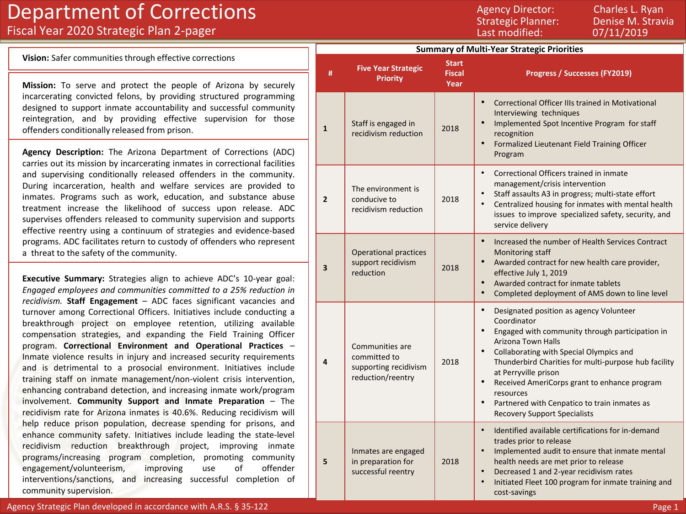## Department of Corrections Fiscal Year 2020 Strategic Plan 2-pager

Strategic Planner: Denise M. Stravia<br>Last modified: 07/11/2019 Last modified:

Agency Director: Charles L. Ryan

**Vision:** Safer communities through effective corrections

**Mission:** To serve and protect the people of Arizona by securely incarcerating convicted felons, by providing structured programming designed to support inmate accountability and successful community reintegration, and by providing effective supervision for those offenders conditionally released from prison.

**Agency Description:** The Arizona Department of Corrections (ADC) carries out its mission by incarcerating inmates in correctional facilities and supervising conditionally released offenders in the community. During incarceration, health and welfare services are provided to inmates. Programs such as work, education, and substance abuse treatment increase the likelihood of success upon release. ADC supervises offenders released to community supervision and supports effective reentry using a continuum of strategies and evidence-based programs. ADC facilitates return to custody of offenders who represent a threat to the safety of the community.

**Executive Summary:** Strategies align to achieve ADC's 10-year goal: *Engaged employees and communities committed to a 25% reduction in recidivism.* **Staff Engagement** – ADC faces significant vacancies and turnover among Correctional Officers. Initiatives include conducting a breakthrough project on employee retention, utilizing available compensation strategies, and expanding the Field Training Officer program. **Correctional Environment and Operational Practices** – Inmate violence results in injury and increased security requirements and is detrimental to a prosocial environment. Initiatives include training staff on inmate management/non-violent crisis intervention, enhancing contraband detection, and increasing inmate work/program involvement. **Community Support and Inmate Preparation** – The recidivism rate for Arizona inmates is 40.6%. Reducing recidivism will help reduce prison population, decrease spending for prisons, and enhance community safety. Initiatives include leading the state-level recidivism reduction breakthrough project, improving inmate programs/increasing program completion, promoting community engagement/volunteerism, improving use of offender interventions/sanctions, and increasing successful completion of community supervision.

|  | <b>Summary of Multi-Year Strategic Priorities</b> |                                                                               |                                       |                                                                                                                                                                                                                                                                                                                                                                                                                                                                                        |  |  |
|--|---------------------------------------------------|-------------------------------------------------------------------------------|---------------------------------------|----------------------------------------------------------------------------------------------------------------------------------------------------------------------------------------------------------------------------------------------------------------------------------------------------------------------------------------------------------------------------------------------------------------------------------------------------------------------------------------|--|--|
|  | #                                                 | <b>Five Year Strategic</b><br><b>Priority</b>                                 | <b>Start</b><br><b>Fiscal</b><br>Year | Progress / Successes (FY2019)                                                                                                                                                                                                                                                                                                                                                                                                                                                          |  |  |
|  | $\mathbf{1}$                                      | Staff is engaged in<br>recidivism reduction                                   | 2018                                  | $\bullet$<br>Correctional Officer IIIs trained in Motivational<br>Interviewing techniques<br>$\bullet$<br>Implemented Spot Incentive Program for staff<br>recognition<br>$\bullet$<br>Formalized Lieutenant Field Training Officer<br>Program                                                                                                                                                                                                                                          |  |  |
|  | $\overline{2}$                                    | The environment is<br>conducive to<br>recidivism reduction                    | 2018                                  | $\bullet$<br>Correctional Officers trained in inmate<br>management/crisis intervention<br>$\bullet$<br>Staff assaults A3 in progress; multi-state effort<br>Centralized housing for inmates with mental health<br>$\bullet$<br>issues to improve specialized safety, security, and<br>service delivery                                                                                                                                                                                 |  |  |
|  | 3                                                 | <b>Operational practices</b><br>support recidivism<br>reduction               | 2018                                  | $\bullet$<br>Increased the number of Health Services Contract<br>Monitoring staff<br>$\bullet$<br>Awarded contract for new health care provider,<br>effective July 1, 2019<br>Awarded contract for inmate tablets<br>$\bullet$<br>$\bullet$<br>Completed deployment of AMS down to line level                                                                                                                                                                                          |  |  |
|  | 4                                                 | Communities are<br>committed to<br>supporting recidivism<br>reduction/reentry | 2018                                  | $\bullet$<br>Designated position as agency Volunteer<br>Coordinator<br>$\bullet$<br>Engaged with community through participation in<br><b>Arizona Town Halls</b><br>$\bullet$<br>Collaborating with Special Olympics and<br>Thunderbird Charities for multi-purpose hub facility<br>at Perryville prison<br>$\bullet$<br>Received AmeriCorps grant to enhance program<br>resources<br>$\bullet$<br>Partnered with Cenpatico to train inmates as<br><b>Recovery Support Specialists</b> |  |  |
|  | 5                                                 | Inmates are engaged<br>in preparation for<br>successful reentry               | 2018                                  | $\bullet$<br>Identified available certifications for in-demand<br>trades prior to release<br>$\bullet$<br>Implemented audit to ensure that inmate mental<br>health needs are met prior to release<br>Decreased 1 and 2-year recidivism rates<br>$\bullet$<br>Initiated Fleet 100 program for inmate training and<br>$\bullet$<br>cost-savings                                                                                                                                          |  |  |

Agency Strategic Plan developed in accordance with A.R.S. § 35-122 Page 1 Page 1 Page 1 Page 1 Page 1